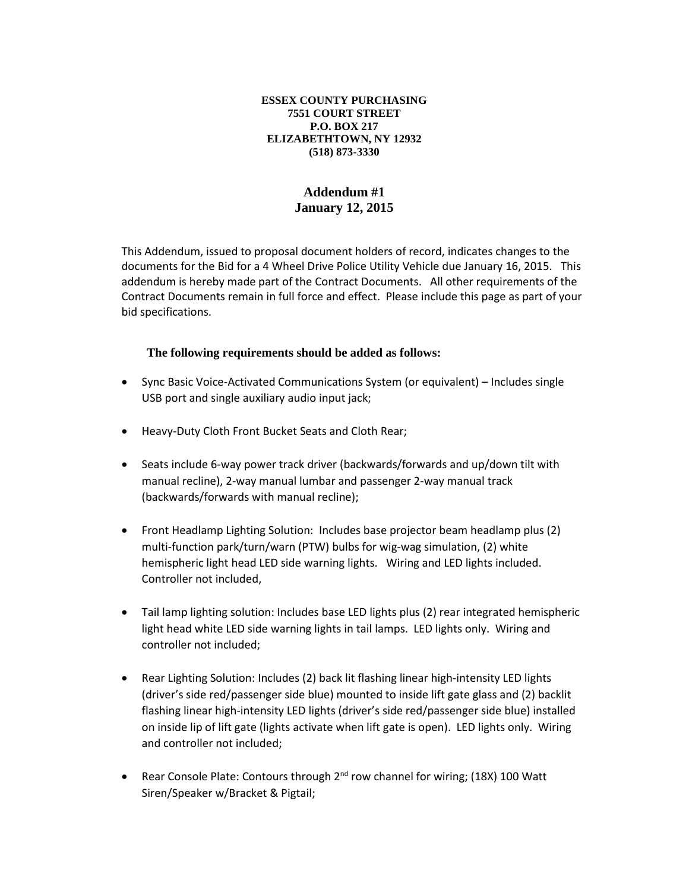## **ESSEX COUNTY PURCHASING 7551 COURT STREET P.O. BOX 217 ELIZABETHTOWN, NY 12932 (518) 873-3330**

## **Addendum #1 January 12, 2015**

This Addendum, issued to proposal document holders of record, indicates changes to the documents for the Bid for a 4 Wheel Drive Police Utility Vehicle due January 16, 2015. This addendum is hereby made part of the Contract Documents. All other requirements of the Contract Documents remain in full force and effect. Please include this page as part of your bid specifications.

## **The following requirements should be added as follows:**

- Sync Basic Voice-Activated Communications System (or equivalent) Includes single USB port and single auxiliary audio input jack;
- Heavy-Duty Cloth Front Bucket Seats and Cloth Rear;
- Seats include 6-way power track driver (backwards/forwards and up/down tilt with manual recline), 2-way manual lumbar and passenger 2-way manual track (backwards/forwards with manual recline);
- Front Headlamp Lighting Solution: Includes base projector beam headlamp plus (2) multi-function park/turn/warn (PTW) bulbs for wig-wag simulation, (2) white hemispheric light head LED side warning lights. Wiring and LED lights included. Controller not included,
- Tail lamp lighting solution: Includes base LED lights plus (2) rear integrated hemispheric light head white LED side warning lights in tail lamps. LED lights only. Wiring and controller not included;
- Rear Lighting Solution: Includes (2) back lit flashing linear high-intensity LED lights (driver's side red/passenger side blue) mounted to inside lift gate glass and (2) backlit flashing linear high-intensity LED lights (driver's side red/passenger side blue) installed on inside lip of lift gate (lights activate when lift gate is open). LED lights only. Wiring and controller not included;
- Rear Console Plate: Contours through 2<sup>nd</sup> row channel for wiring; (18X) 100 Watt Siren/Speaker w/Bracket & Pigtail;